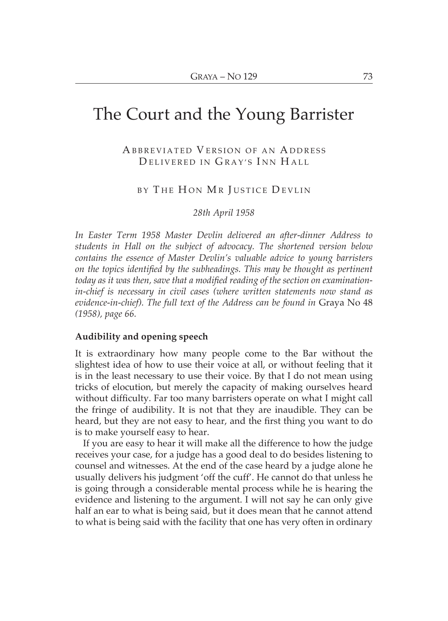# The Court and the Young Barrister

# ABBREVIATED VERSION OF AN ADDRESS DELIVERED IN GRAY'S INN HALL

# BY THE HON MR JUSTICE DEVLIN

#### 28th April 1958

In Easter Term 1958 Master Devlin delivered an after-dinner Address to students in Hall on the subject of advocacy. The shortened version below contains the essence of Master Devlin's valuable advice to young barristers on the topics identified by the subheadings. This may be thought as pertinent today as it was then, save that a modified reading of the section on examinationin-chief is necessary in civil cases (where written statements now stand as evidence-in-chief). The full text of the Address can be found in Graya No 48 (1958), page 66.

## Audibility and opening speech

It is extraordinary how many people come to the Bar without the slightest idea of how to use their voice at all, or without feeling that it is in the least necessary to use their voice. By that I do not mean using tricks of elocution, but merely the capacity of making ourselves heard without difficulty. Far too many barristers operate on what I might call the fringe of audibility. It is not that they are inaudible. They can be heard, but they are not easy to hear, and the first thing you want to do is to make yourself easy to hear.

If you are easy to hear it will make all the difference to how the judge receives your case, for a judge has a good deal to do besides listening to counsel and witnesses. At the end of the case heard by a judge alone he usually delivers his judgment 'off the cuff'. He cannot do that unless he is going through a considerable mental process while he is hearing the evidence and listening to the argument. I will not say he can only give half an ear to what is being said, but it does mean that he cannot attend to what is being said with the facility that one has very often in ordinary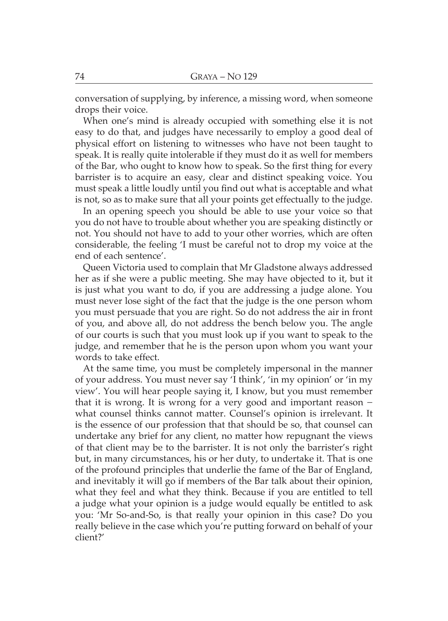conversation of supplying, by inference, a missing word, when someone drops their voice.

When one's mind is already occupied with something else it is not easy to do that, and judges have necessarily to employ a good deal of physical effort on listening to witnesses who have not been taught to speak. It is really quite intolerable if they must do it as well for members of the Bar, who ought to know how to speak. So the first thing for every barrister is to acquire an easy, clear and distinct speaking voice. You must speak a little loudly until you find out what is acceptable and what is not, so as to make sure that all your points get effectually to the judge.

In an opening speech you should be able to use your voice so that you do not have to trouble about whether you are speaking distinctly or not. You should not have to add to your other worries, which are often considerable, the feeling 'I must be careful not to drop my voice at the end of each sentence'.

Queen Victoria used to complain that Mr Gladstone always addressed her as if she were a public meeting. She may have objected to it, but it is just what you want to do, if you are addressing a judge alone. You must never lose sight of the fact that the judge is the one person whom you must persuade that you are right. So do not address the air in front of you, and above all, do not address the bench below you. The angle of our courts is such that you must look up if you want to speak to the judge, and remember that he is the person upon whom you want your words to take effect.

At the same time, you must be completely impersonal in the manner of your address. You must never say 'I think', 'in my opinion' or 'in my view'. You will hear people saying it, I know, but you must remember that it is wrong. It is wrong for a very good and important reason  $$ what counsel thinks cannot matter. Counsel's opinion is irrelevant. It is the essence of our profession that that should be so, that counsel can undertake any brief for any client, no matter how repugnant the views of that client may be to the barrister. It is not only the barrister's right but, in many circumstances, his or her duty, to undertake it. That is one of the profound principles that underlie the fame of the Bar of England, and inevitably it will go if members of the Bar talk about their opinion, what they feel and what they think. Because if you are entitled to tell a judge what your opinion is a judge would equally be entitled to ask you: 'Mr So-and-So, is that really your opinion in this case? Do you really believe in the case which you're putting forward on behalf of your client?'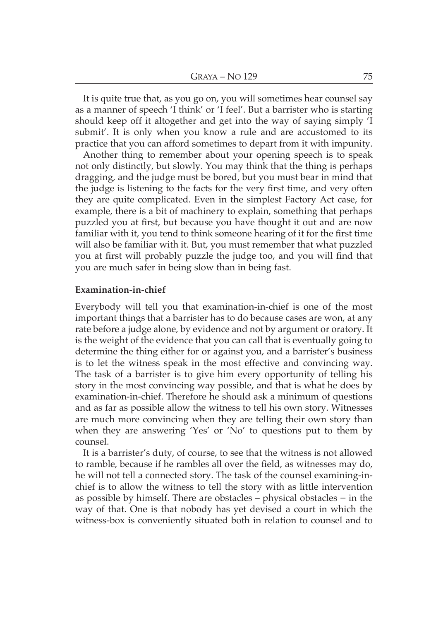It is quite true that, as you go on, you will sometimes hear counsel sav as a manner of speech 'I think' or 'I feel'. But a barrister who is starting should keep off it altogether and get into the way of saying simply 'I submit'. It is only when you know a rule and are accustomed to its practice that you can afford sometimes to depart from it with impunity.

Another thing to remember about your opening speech is to speak not only distinctly, but slowly. You may think that the thing is perhaps dragging, and the judge must be bored, but you must bear in mind that the judge is listening to the facts for the very first time, and very often they are quite complicated. Even in the simplest Factory Act case, for example, there is a bit of machinery to explain, something that perhaps puzzled you at first, but because you have thought it out and are now familiar with it, you tend to think someone hearing of it for the first time will also be familiar with it. But, you must remember that what puzzled you at first will probably puzzle the judge too, and you will find that you are much safer in being slow than in being fast.

#### Examination-in-chief

Everybody will tell you that examination-in-chief is one of the most important things that a barrister has to do because cases are won, at any rate before a judge alone, by evidence and not by argument or oratory. It is the weight of the evidence that you can call that is eventually going to determine the thing either for or against you, and a barrister's business is to let the witness speak in the most effective and convincing way. The task of a barrister is to give him every opportunity of telling his story in the most convincing way possible, and that is what he does by examination-in-chief. Therefore he should ask a minimum of questions and as far as possible allow the witness to tell his own story. Witnesses are much more convincing when they are telling their own story than when they are answering 'Yes' or 'No' to questions put to them by counsel.

It is a barrister's duty, of course, to see that the witness is not allowed to ramble, because if he rambles all over the field, as witnesses may do, he will not tell a connected story. The task of the counsel examining-inchief is to allow the witness to tell the story with as little intervention as possible by himself. There are obstacles  $-$  physical obstacles  $-$  in the way of that. One is that nobody has yet devised a court in which the witness-box is conveniently situated both in relation to counsel and to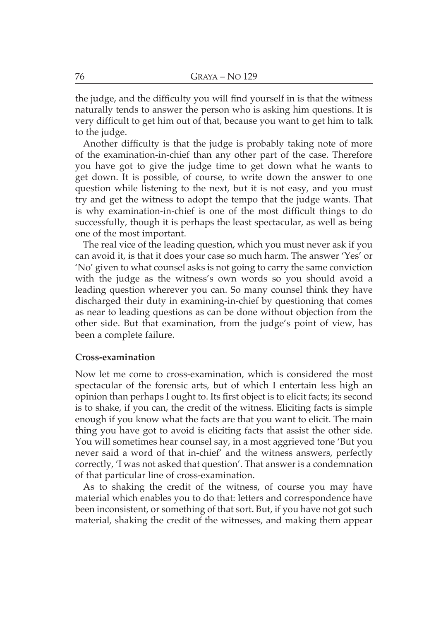the judge, and the difficulty you will find yourself in is that the witness naturally tends to answer the person who is asking him questions. It is very difficult to get him out of that, because you want to get him to talk to the judge.

Another difficulty is that the judge is probably taking note of more of the examination-in-chief than any other part of the case. Therefore you have got to give the judge time to get down what he wants to get down. It is possible, of course, to write down the answer to one question while listening to the next, but it is not easy, and you must try and get the witness to adopt the tempo that the judge wants. That is why examination-in-chief is one of the most difficult things to do successfully, though it is perhaps the least spectacular, as well as being one of the most important.

The real vice of the leading question, which you must never ask if you can avoid it, is that it does your case so much harm. The answer 'Yes' or 'No' given to what counsel asks is not going to carry the same conviction with the judge as the witness's own words so you should avoid a leading question wherever you can. So many counsel think they have discharged their duty in examining-in-chief by questioning that comes as near to leading questions as can be done without objection from the other side. But that examination, from the judge's point of view, has been a complete failure.

## Cross-examination

Now let me come to cross-examination, which is considered the most spectacular of the forensic arts, but of which I entertain less high an opinion than perhaps I ought to. Its first object is to elicit facts; its second is to shake, if you can, the credit of the witness. Eliciting facts is simple enough if you know what the facts are that you want to elicit. The main thing you have got to avoid is eliciting facts that assist the other side. You will sometimes hear counsel say, in a most aggrieved tone 'But you never said a word of that in-chief' and the witness answers, perfectly correctly, 'I was not asked that question'. That answer is a condemnation of that particular line of cross-examination.

As to shaking the credit of the witness, of course you may have material which enables you to do that: letters and correspondence have been inconsistent, or something of that sort. But, if you have not got such material, shaking the credit of the witnesses, and making them appear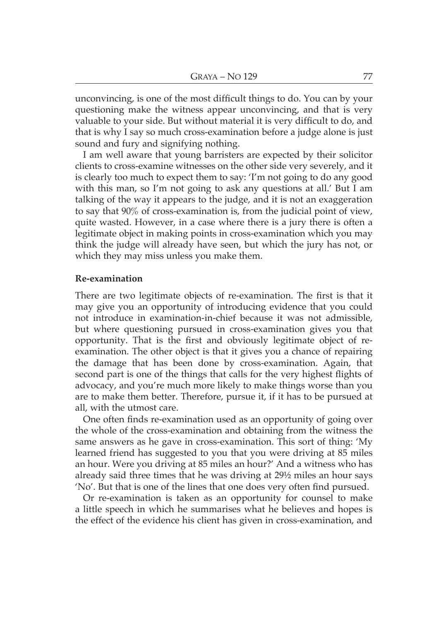unconvincing, is one of the most difficult things to do. You can by your questioning make the witness appear unconvincing, and that is very valuable to your side. But without material it is very difficult to do, and that is why I say so much cross-examination before a judge alone is just sound and fury and signifying nothing.

I am well aware that young barristers are expected by their solicitor clients to cross-examine witnesses on the other side very severely, and it is clearly too much to expect them to say: 'I'm not going to do any good with this man, so I'm not going to ask any questions at all.' But I am talking of the way it appears to the judge, and it is not an exaggeration to say that 90% of cross-examination is, from the judicial point of view, quite wasted. However, in a case where there is a jury there is often a legitimate object in making points in cross-examination which you may think the judge will already have seen, but which the jury has not, or which they may miss unless you make them.

#### Re-examination

There are two legitimate objects of re-examination. The first is that it may give you an opportunity of introducing evidence that you could not introduce in examination-in-chief because it was not admissible, but where questioning pursued in cross-examination gives you that opportunity. That is the first and obviously legitimate object of reexamination. The other object is that it gives you a chance of repairing the damage that has been done by cross-examination. Again, that second part is one of the things that calls for the very highest flights of advocacy, and you're much more likely to make things worse than you are to make them better. Therefore, pursue it, if it has to be pursued at all, with the utmost care.

One often finds re-examination used as an opportunity of going over the whole of the cross-examination and obtaining from the witness the same answers as he gave in cross-examination. This sort of thing: 'My learned friend has suggested to you that you were driving at 85 miles an hour. Were you driving at 85 miles an hour?' And a witness who has already said three times that he was driving at 29½ miles an hour says 'No'. But that is one of the lines that one does very often find pursued.

Or re-examination is taken as an opportunity for counsel to make a little speech in which he summarises what he believes and hopes is the effect of the evidence his client has given in cross-examination, and